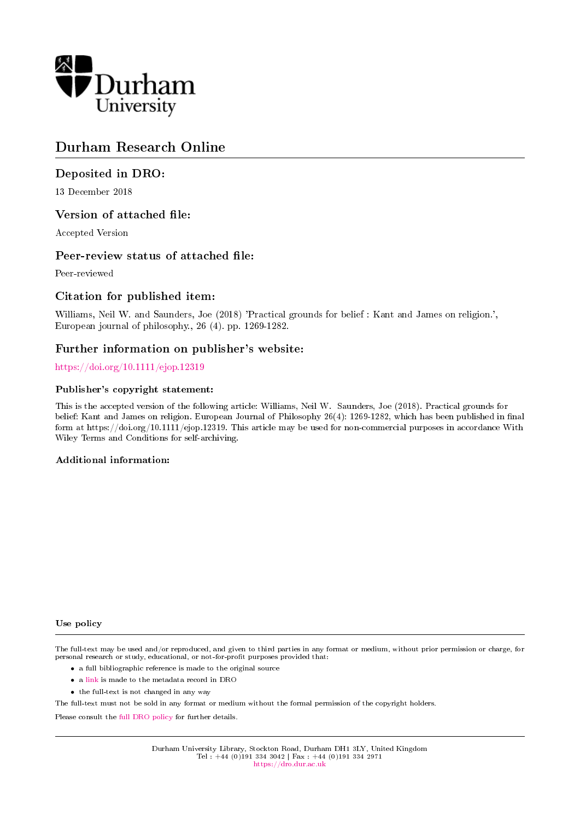

## Durham Research Online

## Deposited in DRO:

13 December 2018

## Version of attached file:

Accepted Version

## Peer-review status of attached file:

Peer-reviewed

## Citation for published item:

Williams, Neil W. and Saunders, Joe (2018) 'Practical grounds for belief : Kant and James on religion.', European journal of philosophy., 26 (4). pp. 1269-1282.

## Further information on publisher's website:

### <https://doi.org/10.1111/ejop.12319>

### Publisher's copyright statement:

This is the accepted version of the following article: Williams, Neil W. Saunders, Joe (2018). Practical grounds for belief: Kant and James on religion. European Journal of Philosophy 26(4): 1269-1282, which has been published in final form at https://doi.org/10.1111/ejop.12319. This article may be used for non-commercial purposes in accordance With Wiley Terms and Conditions for self-archiving.

### Additional information:

#### Use policy

The full-text may be used and/or reproduced, and given to third parties in any format or medium, without prior permission or charge, for personal research or study, educational, or not-for-profit purposes provided that:

- a full bibliographic reference is made to the original source
- a [link](http://dro.dur.ac.uk/26990/) is made to the metadata record in DRO
- the full-text is not changed in any way

The full-text must not be sold in any format or medium without the formal permission of the copyright holders.

Please consult the [full DRO policy](https://dro.dur.ac.uk/policies/usepolicy.pdf) for further details.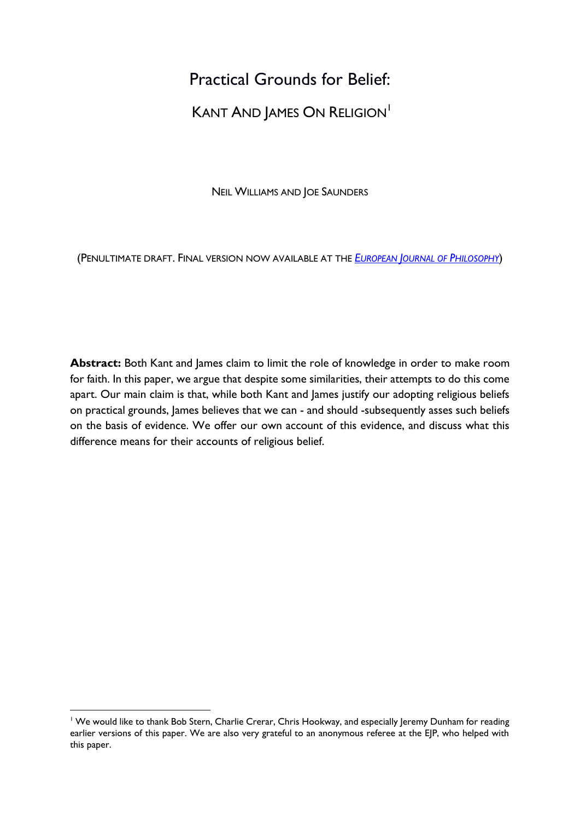# Practical Grounds for Belief:

# KANT AND JAMES ON RELIGION<sup>1</sup>

NEIL WILLIAMS AND JOE SAUNDERS

(PENULTIMATE DRAFT. FINAL VERSION NOW AVAILABLE AT THE *EUROPEAN J[OURNAL OF](http://onlinelibrary.wiley.com/wol1/doi/10.1111/ejop.12319/full) PHILOSOPHY*)

**Abstract:** Both Kant and James claim to limit the role of knowledge in order to make room for faith. In this paper, we argue that despite some similarities, their attempts to do this come apart. Our main claim is that, while both Kant and James justify our adopting religious beliefs on practical grounds, James believes that we can - and should -subsequently asses such beliefs on the basis of evidence. We offer our own account of this evidence, and discuss what this difference means for their accounts of religious belief.

<sup>&</sup>lt;sup>1</sup> We would like to thank Bob Stern, Charlie Crerar, Chris Hookway, and especially leremy Dunham for reading earlier versions of this paper. We are also very grateful to an anonymous referee at the EJP, who helped with this paper.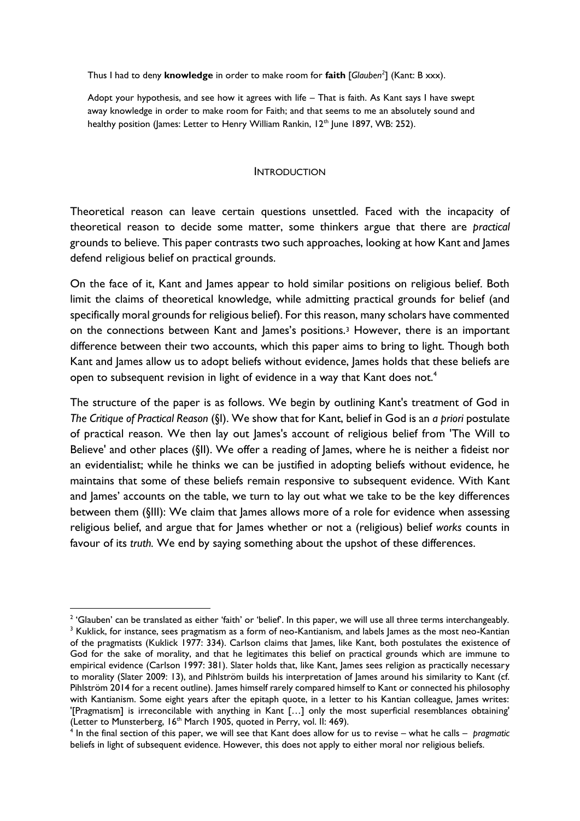Thus I had to deny **knowledge** in order to make room for **faith** [*Glauben<sup>2</sup>* ] (Kant: B xxx).

Adopt your hypothesis, and see how it agrees with life – That is faith. As Kant says I have swept away knowledge in order to make room for Faith; and that seems to me an absolutely sound and healthy position (James: Letter to Henry William Rankin, 12<sup>th</sup> June 1897, WB: 252).

### INTRODUCTION

Theoretical reason can leave certain questions unsettled. Faced with the incapacity of theoretical reason to decide some matter, some thinkers argue that there are *practical*  grounds to believe. This paper contrasts two such approaches, looking at how Kant and James defend religious belief on practical grounds.

On the face of it, Kant and James appear to hold similar positions on religious belief. Both limit the claims of theoretical knowledge, while admitting practical grounds for belief (and specifically moral grounds for religious belief). For this reason, many scholars have commented on the connections between Kant and James's positions.<sup>3</sup> However, there is an important difference between their two accounts, which this paper aims to bring to light. Though both Kant and James allow us to adopt beliefs without evidence, James holds that these beliefs are open to subsequent revision in light of evidence in a way that Kant does not.<sup>4</sup>

The structure of the paper is as follows. We begin by outlining Kant's treatment of God in *The Critique of Practical Reason* (§I). We show that for Kant, belief in God is an *a priori* postulate of practical reason. We then lay out James's account of religious belief from 'The Will to Believe' and other places (§II). We offer a reading of James, where he is neither a fideist nor an evidentialist; while he thinks we can be justified in adopting beliefs without evidence, he maintains that some of these beliefs remain responsive to subsequent evidence. With Kant and James' accounts on the table, we turn to lay out what we take to be the key differences between them (§III): We claim that James allows more of a role for evidence when assessing religious belief, and argue that for James whether or not a (religious) belief *works* counts in favour of its *truth.* We end by saying something about the upshot of these differences.

 $2$  'Glauben' can be translated as either 'faith' or 'belief'. In this paper, we will use all three terms interchangeably. <sup>3</sup> Kuklick, for instance, sees pragmatism as a form of neo-Kantianism, and labels James as the most neo-Kantian of the pragmatists (Kuklick 1977: 334). Carlson claims that James, like Kant, both postulates the existence of God for the sake of morality, and that he legitimates this belief on practical grounds which are immune to empirical evidence (Carlson 1997: 381). Slater holds that, like Kant, James sees religion as practically necessary to morality (Slater 2009: 13), and Pihlström builds his interpretation of James around his similarity to Kant (cf. Pihlström 2014 for a recent outline). James himself rarely compared himself to Kant or connected his philosophy with Kantianism. Some eight years after the epitaph quote, in a letter to his Kantian colleague, James writes: '[Pragmatism] is irreconcilable with anything in Kant […] only the most superficial resemblances obtaining' (Letter to Munsterberg, 16<sup>th</sup> March 1905, quoted in Perry, vol. II: 469).

<sup>4</sup> In the final section of this paper, we will see that Kant does allow for us to revise – what he calls – *pragmatic* beliefs in light of subsequent evidence. However, this does not apply to either moral nor religious beliefs.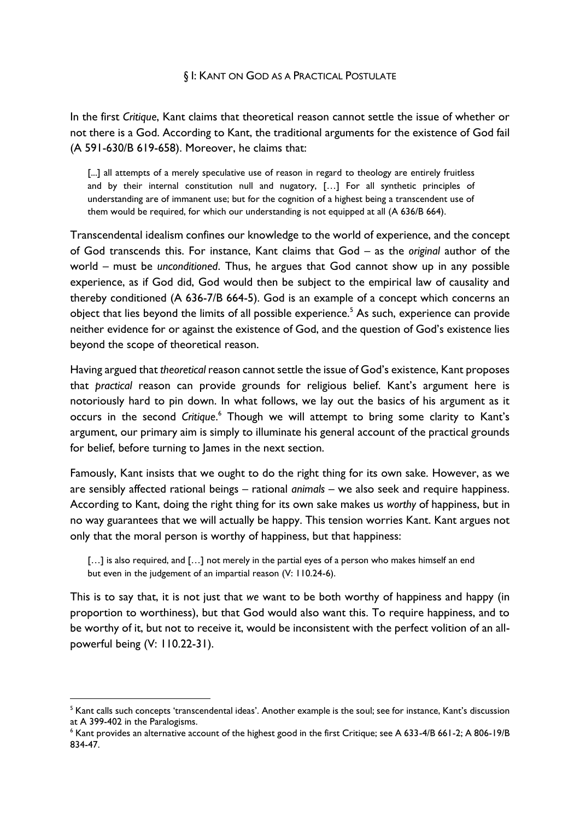## § I: KANT ON GOD AS A PRACTICAL POSTULATE

In the first *Critique*, Kant claims that theoretical reason cannot settle the issue of whether or not there is a God. According to Kant, the traditional arguments for the existence of God fail (A 591-630/B 619-658). Moreover, he claims that:

[...] all attempts of a merely speculative use of reason in regard to theology are entirely fruitless and by their internal constitution null and nugatory, […] For all synthetic principles of understanding are of immanent use; but for the cognition of a highest being a transcendent use of them would be required, for which our understanding is not equipped at all (A 636/B 664).

Transcendental idealism confines our knowledge to the world of experience, and the concept of God transcends this. For instance, Kant claims that God – as the *original* author of the world – must be *unconditioned*. Thus, he argues that God cannot show up in any possible experience, as if God did, God would then be subject to the empirical law of causality and thereby conditioned (A 636-7/B 664-5). God is an example of a concept which concerns an object that lies beyond the limits of all possible experience.<sup>5</sup> As such, experience can provide neither evidence for or against the existence of God, and the question of God's existence lies beyond the scope of theoretical reason.

Having argued that *theoretical* reason cannot settle the issue of God's existence, Kant proposes that *practical* reason can provide grounds for religious belief. Kant's argument here is notoriously hard to pin down. In what follows, we lay out the basics of his argument as it occurs in the second *Critique*. <sup>6</sup> Though we will attempt to bring some clarity to Kant's argument, our primary aim is simply to illuminate his general account of the practical grounds for belief, before turning to James in the next section.

Famously, Kant insists that we ought to do the right thing for its own sake. However, as we are sensibly affected rational beings – rational *animals* – we also seek and require happiness. According to Kant, doing the right thing for its own sake makes us *worthy* of happiness, but in no way guarantees that we will actually be happy. This tension worries Kant. Kant argues not only that the moral person is worthy of happiness, but that happiness:

[...] is also required, and [...] not merely in the partial eyes of a person who makes himself an end but even in the judgement of an impartial reason (V: 110.24-6).

This is to say that, it is not just that *we* want to be both worthy of happiness and happy (in proportion to worthiness), but that God would also want this. To require happiness, and to be worthy of it, but not to receive it, would be inconsistent with the perfect volition of an allpowerful being (V: 110.22-31).

<sup>&</sup>lt;sup>5</sup> Kant calls such concepts 'transcendental ideas'. Another example is the soul; see for instance, Kant's discussion at A 399-402 in the Paralogisms.

<sup>6</sup> Kant provides an alternative account of the highest good in the first Critique; see A 633-4/B 661-2; A 806-19/B 834-47.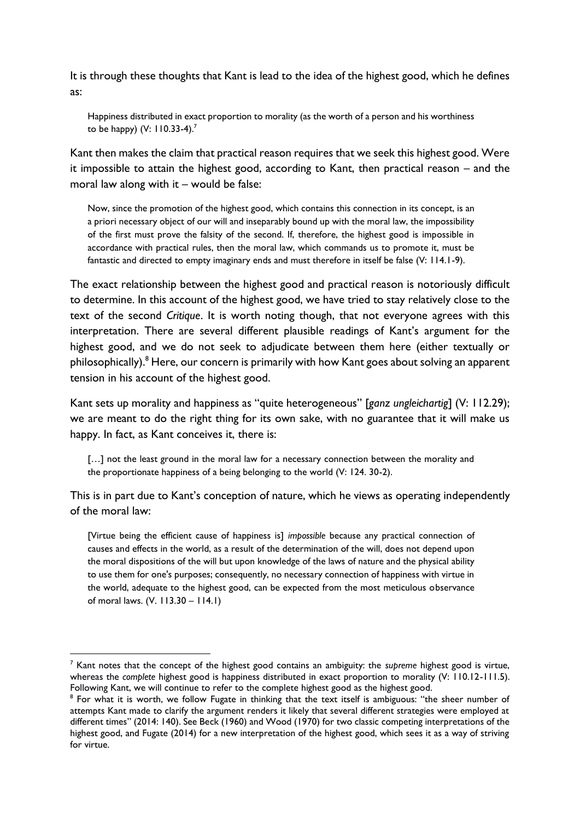It is through these thoughts that Kant is lead to the idea of the highest good, which he defines as:

Happiness distributed in exact proportion to morality (as the worth of a person and his worthiness to be happy) (V: 110.33-4). 7

Kant then makes the claim that practical reason requires that we seek this highest good. Were it impossible to attain the highest good, according to Kant, then practical reason – and the moral law along with it – would be false:

Now, since the promotion of the highest good, which contains this connection in its concept, is an a priori necessary object of our will and inseparably bound up with the moral law, the impossibility of the first must prove the falsity of the second. If, therefore, the highest good is impossible in accordance with practical rules, then the moral law, which commands us to promote it, must be fantastic and directed to empty imaginary ends and must therefore in itself be false (V: 114.1-9).

The exact relationship between the highest good and practical reason is notoriously difficult to determine. In this account of the highest good, we have tried to stay relatively close to the text of the second *Critique*. It is worth noting though, that not everyone agrees with this interpretation. There are several different plausible readings of Kant's argument for the highest good, and we do not seek to adjudicate between them here (either textually or philosophically).<sup>8</sup> Here, our concern is primarily with how Kant goes about solving an apparent tension in his account of the highest good.

Kant sets up morality and happiness as "quite heterogeneous" [*ganz ungleichartig*] (V: 112.29); we are meant to do the right thing for its own sake, with no guarantee that it will make us happy. In fact, as Kant conceives it, there is:

[...] not the least ground in the moral law for a necessary connection between the morality and the proportionate happiness of a being belonging to the world (V: 124. 30-2).

This is in part due to Kant's conception of nature, which he views as operating independently of the moral law:

[Virtue being the efficient cause of happiness is] *impossible* because any practical connection of causes and effects in the world, as a result of the determination of the will, does not depend upon the moral dispositions of the will but upon knowledge of the laws of nature and the physical ability to use them for one's purposes; consequently, no necessary connection of happiness with virtue in the world, adequate to the highest good, can be expected from the most meticulous observance of moral laws. (V. 113.30 – 114.1)

<sup>7</sup> Kant notes that the concept of the highest good contains an ambiguity: the *supreme* highest good is virtue, whereas the *complete* highest good is happiness distributed in exact proportion to morality (V: 110.12-111.5). Following Kant, we will continue to refer to the complete highest good as the highest good.

<sup>&</sup>lt;sup>8</sup> For what it is worth, we follow Fugate in thinking that the text itself is ambiguous: "the sheer number of attempts Kant made to clarify the argument renders it likely that several different strategies were employed at different times" (2014: 140). See Beck (1960) and Wood (1970) for two classic competing interpretations of the highest good, and Fugate (2014) for a new interpretation of the highest good, which sees it as a way of striving for virtue.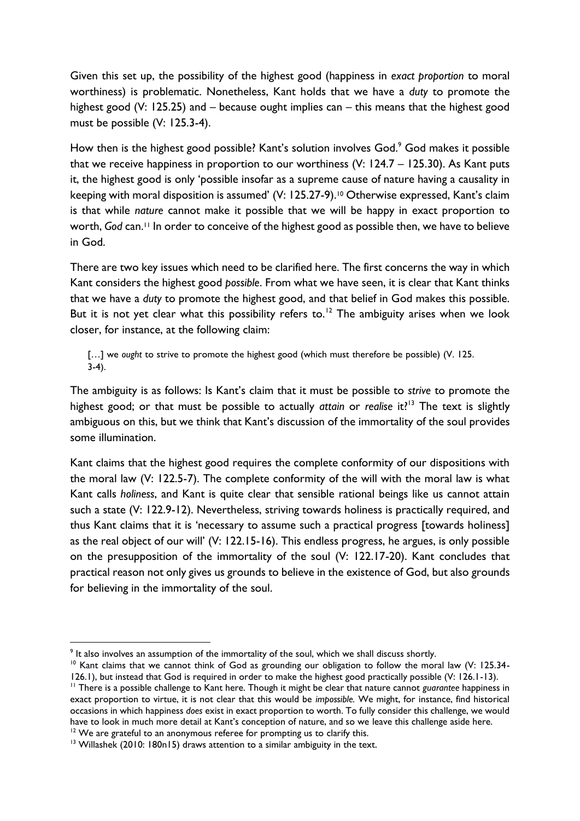Given this set up, the possibility of the highest good (happiness in *exact proportion* to moral worthiness) is problematic. Nonetheless, Kant holds that we have a *duty* to promote the highest good (V: 125.25) and – because ought implies can – this means that the highest good must be possible (V: 125.3-4).

How then is the highest good possible? Kant's solution involves God.<sup>9</sup> God makes it possible that we receive happiness in proportion to our worthiness (V: 124.7 – 125.30). As Kant puts it, the highest good is only 'possible insofar as a supreme cause of nature having a causality in keeping with moral disposition is assumed' (V: 125.27-9).<sup>10</sup> Otherwise expressed, Kant's claim is that while *nature* cannot make it possible that we will be happy in exact proportion to worth, *God* can.<sup>11</sup> In order to conceive of the highest good as possible then, we have to believe in God.

There are two key issues which need to be clarified here. The first concerns the way in which Kant considers the highest good *possible*. From what we have seen, it is clear that Kant thinks that we have a *duty* to promote the highest good, and that belief in God makes this possible. But it is not yet clear what this possibility refers to.<sup>12</sup> The ambiguity arises when we look closer, for instance, at the following claim:

[…] we *ought* to strive to promote the highest good (which must therefore be possible) (V. 125. 3-4).

The ambiguity is as follows: Is Kant's claim that it must be possible to *strive* to promote the highest good; or that must be possible to actually *attain* or *realise* it?<sup>13</sup> The text is slightly ambiguous on this, but we think that Kant's discussion of the immortality of the soul provides some illumination.

Kant claims that the highest good requires the complete conformity of our dispositions with the moral law (V: 122.5-7). The complete conformity of the will with the moral law is what Kant calls *holiness*, and Kant is quite clear that sensible rational beings like us cannot attain such a state (V: 122.9-12). Nevertheless, striving towards holiness is practically required, and thus Kant claims that it is 'necessary to assume such a practical progress [towards holiness] as the real object of our will' (V: 122.15-16). This endless progress, he argues, is only possible on the presupposition of the immortality of the soul (V: 122.17-20). Kant concludes that practical reason not only gives us grounds to believe in the existence of God, but also grounds for believing in the immortality of the soul.

<sup>&</sup>lt;sup>9</sup> It also involves an assumption of the immortality of the soul, which we shall discuss shortly.

<sup>&</sup>lt;sup>10</sup> Kant claims that we cannot think of God as grounding our obligation to follow the moral law (V: 125.34-126.1), but instead that God is required in order to make the highest good practically possible (V: 126.1-13).

<sup>&</sup>lt;sup>11</sup> There is a possible challenge to Kant here. Though it might be clear that nature cannot *guarantee* happiness in exact proportion to virtue, it is not clear that this would be *impossible.* We might, for instance, find historical occasions in which happiness *does* exist in exact proportion to worth. To fully consider this challenge, we would have to look in much more detail at Kant's conception of nature, and so we leave this challenge aside here.

 $12$  We are grateful to an anonymous referee for prompting us to clarify this.

<sup>&</sup>lt;sup>13</sup> Willashek (2010: 180n15) draws attention to a similar ambiguity in the text.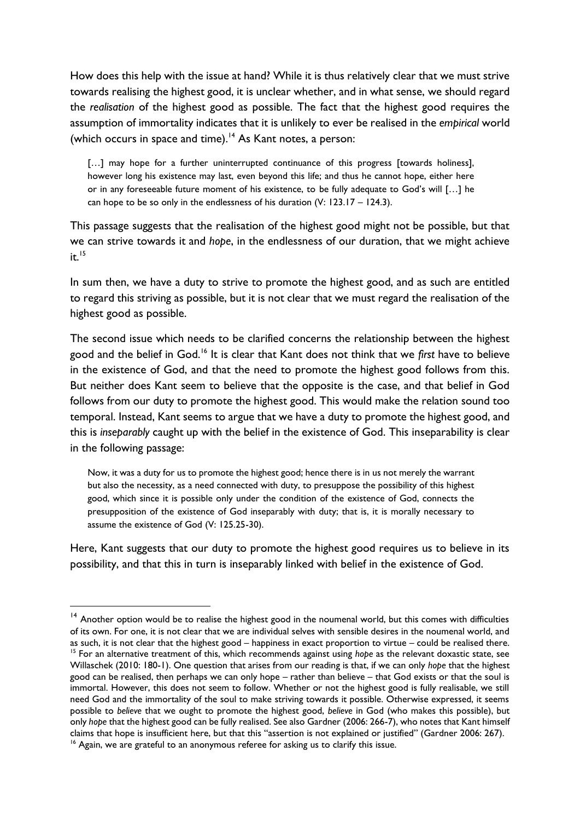How does this help with the issue at hand? While it is thus relatively clear that we must strive towards realising the highest good, it is unclear whether, and in what sense, we should regard the *realisation* of the highest good as possible. The fact that the highest good requires the assumption of immortality indicates that it is unlikely to ever be realised in the *empirical* world (which occurs in space and time).<sup>14</sup> As Kant notes, a person:

[...] may hope for a further uninterrupted continuance of this progress [towards holiness], however long his existence may last, even beyond this life; and thus he cannot hope, either here or in any foreseeable future moment of his existence, to be fully adequate to God's will […] he can hope to be so only in the endlessness of his duration (V: 123.17 – 124.3).

This passage suggests that the realisation of the highest good might not be possible, but that we can strive towards it and *hope*, in the endlessness of our duration, that we might achieve  $it.<sup>15</sup>$ 

In sum then, we have a duty to strive to promote the highest good, and as such are entitled to regard this striving as possible, but it is not clear that we must regard the realisation of the highest good as possible.

The second issue which needs to be clarified concerns the relationship between the highest good and the belief in God.<sup>16</sup> It is clear that Kant does not think that we *first* have to believe in the existence of God, and that the need to promote the highest good follows from this. But neither does Kant seem to believe that the opposite is the case, and that belief in God follows from our duty to promote the highest good. This would make the relation sound too temporal. Instead, Kant seems to argue that we have a duty to promote the highest good, and this is *inseparably* caught up with the belief in the existence of God. This inseparability is clear in the following passage:

Now, it was a duty for us to promote the highest good; hence there is in us not merely the warrant but also the necessity, as a need connected with duty, to presuppose the possibility of this highest good, which since it is possible only under the condition of the existence of God, connects the presupposition of the existence of God inseparably with duty; that is, it is morally necessary to assume the existence of God (V: 125.25-30).

Here, Kant suggests that our duty to promote the highest good requires us to believe in its possibility, and that this in turn is inseparably linked with belief in the existence of God.

<sup>&</sup>lt;sup>14</sup> Another option would be to realise the highest good in the noumenal world, but this comes with difficulties of its own. For one, it is not clear that we are individual selves with sensible desires in the noumenal world, and as such, it is not clear that the highest good – happiness in exact proportion to virtue – could be realised there. <sup>15</sup> For an alternative treatment of this, which recommends against using *hope* as the relevant doxastic state, see Willaschek (2010: 180-1). One question that arises from our reading is that, if we can only *hope* that the highest good can be realised, then perhaps we can only hope – rather than believe – that God exists or that the soul is immortal. However, this does not seem to follow. Whether or not the highest good is fully realisable, we still need God and the immortality of the soul to make striving towards it possible. Otherwise expressed, it seems possible to *believe* that we ought to promote the highest good, *believe* in God (who makes this possible), but only *hope* that the highest good can be fully realised. See also Gardner (2006: 266-7), who notes that Kant himself claims that hope is insufficient here, but that this "assertion is not explained or justified" (Gardner 2006: 267). <sup>16</sup> Again, we are grateful to an anonymous referee for asking us to clarify this issue.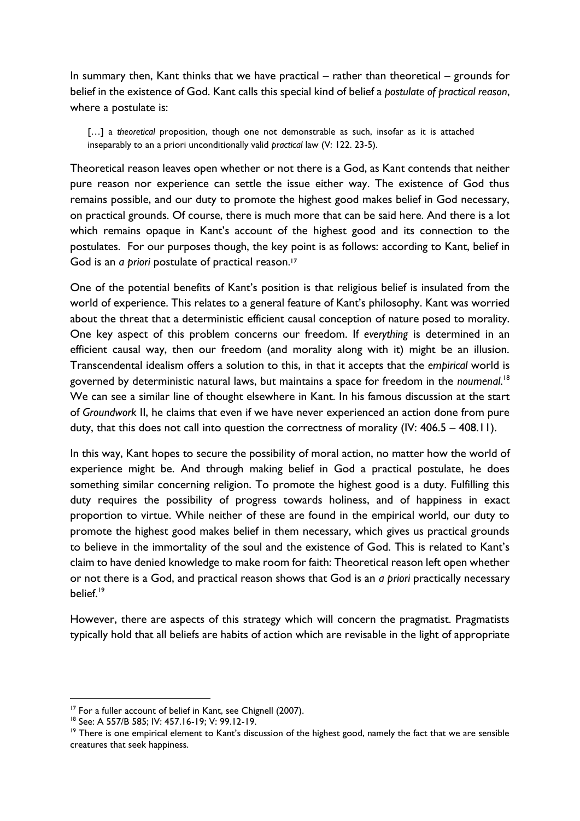In summary then, Kant thinks that we have practical – rather than theoretical – grounds for belief in the existence of God. Kant calls this special kind of belief a *postulate of practical reason*, where a postulate is:

[...] a *theoretical* proposition, though one not demonstrable as such, insofar as it is attached inseparably to an a priori unconditionally valid *practical* law (V: 122. 23-5).

Theoretical reason leaves open whether or not there is a God, as Kant contends that neither pure reason nor experience can settle the issue either way. The existence of God thus remains possible, and our duty to promote the highest good makes belief in God necessary, on practical grounds. Of course, there is much more that can be said here. And there is a lot which remains opaque in Kant's account of the highest good and its connection to the postulates. For our purposes though, the key point is as follows: according to Kant, belief in God is an *a priori* postulate of practical reason. 17

One of the potential benefits of Kant's position is that religious belief is insulated from the world of experience. This relates to a general feature of Kant's philosophy. Kant was worried about the threat that a deterministic efficient causal conception of nature posed to morality. One key aspect of this problem concerns our freedom. If *everything* is determined in an efficient causal way, then our freedom (and morality along with it) might be an illusion. Transcendental idealism offers a solution to this, in that it accepts that the *empirical* world is governed by deterministic natural laws, but maintains a space for freedom in the *noumenal*. 18 We can see a similar line of thought elsewhere in Kant. In his famous discussion at the start of *Groundwork* II, he claims that even if we have never experienced an action done from pure duty, that this does not call into question the correctness of morality (IV: 406.5 – 408.11).

In this way, Kant hopes to secure the possibility of moral action, no matter how the world of experience might be. And through making belief in God a practical postulate, he does something similar concerning religion. To promote the highest good is a duty. Fulfilling this duty requires the possibility of progress towards holiness, and of happiness in exact proportion to virtue. While neither of these are found in the empirical world, our duty to promote the highest good makes belief in them necessary, which gives us practical grounds to believe in the immortality of the soul and the existence of God. This is related to Kant's claim to have denied knowledge to make room for faith: Theoretical reason left open whether or not there is a God, and practical reason shows that God is an *a priori* practically necessary belief<sup>19</sup>

However, there are aspects of this strategy which will concern the pragmatist. Pragmatists typically hold that all beliefs are habits of action which are revisable in the light of appropriate

<sup>&</sup>lt;sup>17</sup> For a fuller account of belief in Kant, see Chignell (2007).

<sup>18</sup> See: A 557/B 585; IV: 457.16-19; V: 99.12-19.

 $19$  There is one empirical element to Kant's discussion of the highest good, namely the fact that we are sensible creatures that seek happiness.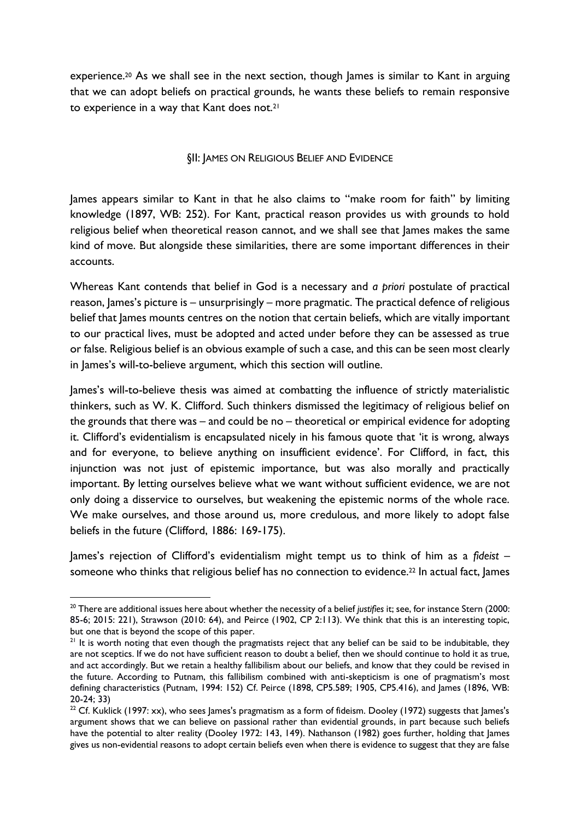experience.<sup>20</sup> As we shall see in the next section, though James is similar to Kant in arguing that we can adopt beliefs on practical grounds, he wants these beliefs to remain responsive to experience in a way that Kant does not.<sup>21</sup>

## §II: JAMES ON RELIGIOUS BELIEF AND EVIDENCE

James appears similar to Kant in that he also claims to "make room for faith" by limiting knowledge (1897, WB: 252). For Kant, practical reason provides us with grounds to hold religious belief when theoretical reason cannot, and we shall see that James makes the same kind of move. But alongside these similarities, there are some important differences in their accounts.

Whereas Kant contends that belief in God is a necessary and *a priori* postulate of practical reason, James's picture is – unsurprisingly – more pragmatic. The practical defence of religious belief that James mounts centres on the notion that certain beliefs, which are vitally important to our practical lives, must be adopted and acted under before they can be assessed as true or false. Religious belief is an obvious example of such a case, and this can be seen most clearly in James's will-to-believe argument, which this section will outline.

James's will-to-believe thesis was aimed at combatting the influence of strictly materialistic thinkers, such as W. K. Clifford. Such thinkers dismissed the legitimacy of religious belief on the grounds that there was – and could be no – theoretical or empirical evidence for adopting it. Clifford's evidentialism is encapsulated nicely in his famous quote that 'it is wrong, always and for everyone, to believe anything on insufficient evidence'. For Clifford, in fact, this injunction was not just of epistemic importance, but was also morally and practically important. By letting ourselves believe what we want without sufficient evidence, we are not only doing a disservice to ourselves, but weakening the epistemic norms of the whole race. We make ourselves, and those around us, more credulous, and more likely to adopt false beliefs in the future (Clifford, 1886: 169-175).

James's rejection of Clifford's evidentialism might tempt us to think of him as a *fideist* – someone who thinks that religious belief has no connection to evidence.<sup>22</sup> In actual fact, James

<sup>&</sup>lt;sup>20</sup> There are additional issues here about whether the necessity of a belief *justifies* it; see, for instance Stern (2000: 85-6; 2015: 221), Strawson (2010: 64), and Peirce (1902, CP 2:113). We think that this is an interesting topic, but one that is beyond the scope of this paper.

<sup>&</sup>lt;sup>21</sup> It is worth noting that even though the pragmatists reject that any belief can be said to be indubitable, they are not sceptics. If we do not have sufficient reason to doubt a belief, then we should continue to hold it as true, and act accordingly. But we retain a healthy fallibilism about our beliefs, and know that they could be revised in the future. According to Putnam, this fallibilism combined with anti-skepticism is one of pragmatism's most defining characteristics (Putnam, 1994: 152) Cf. Peirce (1898, CP5.589; 1905, CP5.416), and James (1896, WB: 20-24; 33)

<sup>&</sup>lt;sup>22</sup> Cf. Kuklick (1997: xx), who sees James's pragmatism as a form of fideism. Dooley (1972) suggests that James's argument shows that we can believe on passional rather than evidential grounds, in part because such beliefs have the potential to alter reality (Dooley 1972: 143, 149). Nathanson (1982) goes further, holding that James gives us non-evidential reasons to adopt certain beliefs even when there is evidence to suggest that they are false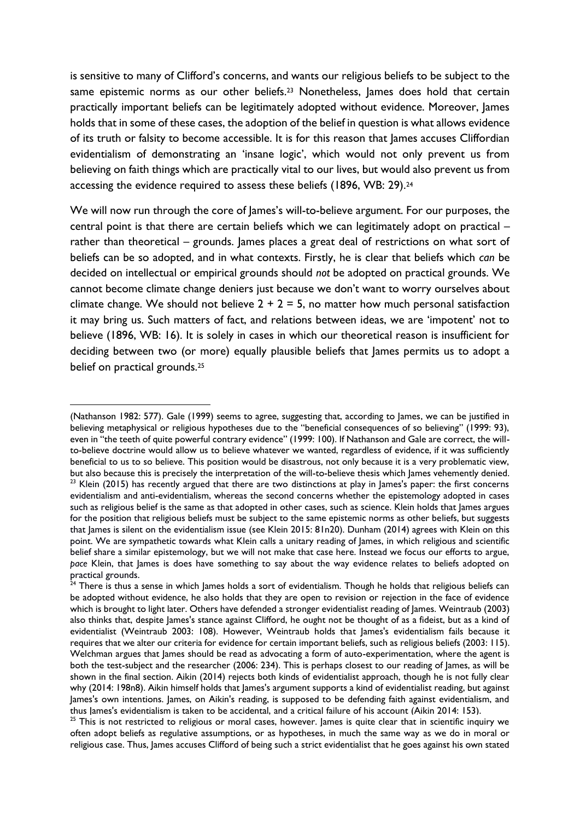is sensitive to many of Clifford's concerns, and wants our religious beliefs to be subject to the same epistemic norms as our other beliefs.<sup>23</sup> Nonetheless, James does hold that certain practically important beliefs can be legitimately adopted without evidence. Moreover, James holds that in some of these cases, the adoption of the belief in question is what allows evidence of its truth or falsity to become accessible. It is for this reason that James accuses Cliffordian evidentialism of demonstrating an 'insane logic', which would not only prevent us from believing on faith things which are practically vital to our lives, but would also prevent us from accessing the evidence required to assess these beliefs (1896, WB: 29).<sup>24</sup>

We will now run through the core of James's will-to-believe argument. For our purposes, the central point is that there are certain beliefs which we can legitimately adopt on practical – rather than theoretical – grounds. James places a great deal of restrictions on what sort of beliefs can be so adopted, and in what contexts. Firstly, he is clear that beliefs which *can* be decided on intellectual or empirical grounds should *not* be adopted on practical grounds. We cannot become climate change deniers just because we don't want to worry ourselves about climate change. We should not believe  $2 + 2 = 5$ , no matter how much personal satisfaction it may bring us. Such matters of fact, and relations between ideas, we are 'impotent' not to believe (1896, WB: 16). It is solely in cases in which our theoretical reason is insufficient for deciding between two (or more) equally plausible beliefs that James permits us to adopt a belief on practical grounds.<sup>25</sup>

<sup>(</sup>Nathanson 1982: 577). Gale (1999) seems to agree, suggesting that, according to James, we can be justified in believing metaphysical or religious hypotheses due to the "beneficial consequences of so believing" (1999: 93), even in "the teeth of quite powerful contrary evidence" (1999: 100). If Nathanson and Gale are correct, the willto-believe doctrine would allow us to believe whatever we wanted, regardless of evidence, if it was sufficiently beneficial to us to so believe. This position would be disastrous, not only because it is a very problematic view, but also because this is precisely the interpretation of the will-to-believe thesis which James vehemently denied.  $23$  Klein (2015) has recently argued that there are two distinctions at play in James's paper: the first concerns evidentialism and anti-evidentialism, whereas the second concerns whether the epistemology adopted in cases such as religious belief is the same as that adopted in other cases, such as science. Klein holds that James argues for the position that religious beliefs must be subject to the same epistemic norms as other beliefs, but suggests that James is silent on the evidentialism issue (see Klein 2015: 81n20). Dunham (2014) agrees with Klein on this point. We are sympathetic towards what Klein calls a unitary reading of James, in which religious and scientific belief share a similar epistemology, but we will not make that case here. Instead we focus our efforts to argue, *pace* Klein, that James is does have something to say about the way evidence relates to beliefs adopted on practical grounds.

 $^{24}$  There is thus a sense in which James holds a sort of evidentialism. Though he holds that religious beliefs can be adopted without evidence, he also holds that they are open to revision or rejection in the face of evidence which is brought to light later. Others have defended a stronger evidentialist reading of James. Weintraub (2003) also thinks that, despite James's stance against Clifford, he ought not be thought of as a fideist, but as a kind of evidentialist (Weintraub 2003: 108). However, Weintraub holds that James's evidentialism fails because it requires that we alter our criteria for evidence for certain important beliefs, such as religious beliefs (2003: 115). Welchman argues that James should be read as advocating a form of auto-experimentation, where the agent is both the test-subject and the researcher (2006: 234). This is perhaps closest to our reading of James, as will be shown in the final section. Aikin (2014) rejects both kinds of evidentialist approach, though he is not fully clear why (2014: 198n8). Aikin himself holds that James's argument supports a kind of evidentialist reading, but against James's own intentions. James, on Aikin's reading, is supposed to be defending faith against evidentialism, and thus James's evidentialism is taken to be accidental, and a critical failure of his account (Aikin 2014: 153).

<sup>&</sup>lt;sup>25</sup> This is not restricted to religious or moral cases, however. James is quite clear that in scientific inquiry we often adopt beliefs as regulative assumptions, or as hypotheses, in much the same way as we do in moral or religious case. Thus, James accuses Clifford of being such a strict evidentialist that he goes against his own stated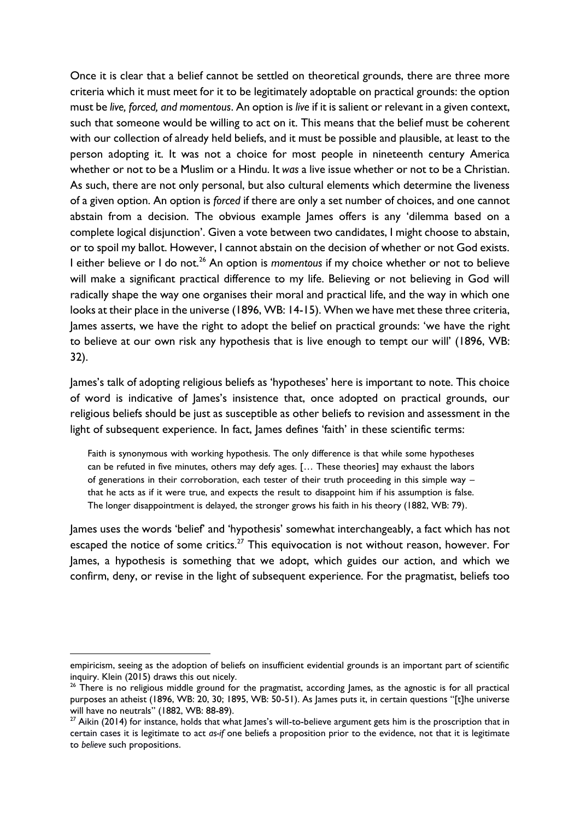Once it is clear that a belief cannot be settled on theoretical grounds, there are three more criteria which it must meet for it to be legitimately adoptable on practical grounds: the option must be *live, forced, and momentous*. An option is *live* if it is salient or relevant in a given context, such that someone would be willing to act on it. This means that the belief must be coherent with our collection of already held beliefs, and it must be possible and plausible, at least to the person adopting it. It was not a choice for most people in nineteenth century America whether or not to be a Muslim or a Hindu. It *was* a live issue whether or not to be a Christian. As such, there are not only personal, but also cultural elements which determine the liveness of a given option. An option is *forced* if there are only a set number of choices, and one cannot abstain from a decision. The obvious example James offers is any 'dilemma based on a complete logical disjunction'. Given a vote between two candidates, I might choose to abstain, or to spoil my ballot. However, I cannot abstain on the decision of whether or not God exists. I either believe or I do not.<sup>26</sup> An option is *momentous* if my choice whether or not to believe will make a significant practical difference to my life. Believing or not believing in God will radically shape the way one organises their moral and practical life, and the way in which one looks at their place in the universe (1896, WB: 14-15). When we have met these three criteria, James asserts, we have the right to adopt the belief on practical grounds: 'we have the right to believe at our own risk any hypothesis that is live enough to tempt our will' (1896, WB: 32).

James's talk of adopting religious beliefs as 'hypotheses' here is important to note. This choice of word is indicative of James's insistence that, once adopted on practical grounds, our religious beliefs should be just as susceptible as other beliefs to revision and assessment in the light of subsequent experience. In fact, lames defines 'faith' in these scientific terms:

Faith is synonymous with working hypothesis. The only difference is that while some hypotheses can be refuted in five minutes, others may defy ages. [… These theories] may exhaust the labors of generations in their corroboration, each tester of their truth proceeding in this simple way – that he acts as if it were true, and expects the result to disappoint him if his assumption is false. The longer disappointment is delayed, the stronger grows his faith in his theory (1882, WB: 79).

James uses the words 'belief' and 'hypothesis' somewhat interchangeably, a fact which has not escaped the notice of some critics.<sup>27</sup> This equivocation is not without reason, however. For James, a hypothesis is something that we adopt, which guides our action, and which we confirm, deny, or revise in the light of subsequent experience. For the pragmatist, beliefs too

empiricism, seeing as the adoption of beliefs on insufficient evidential grounds is an important part of scientific inquiry. Klein (2015) draws this out nicely.

 $26$  There is no religious middle ground for the pragmatist, according James, as the agnostic is for all practical purposes an atheist (1896, WB: 20, 30; 1895, WB: 50-51). As James puts it, in certain questions "[t]he universe will have no neutrals" (1882, WB: 88-89).

 $27$  Aikin (2014) for instance, holds that what lames's will-to-believe argument gets him is the proscription that in certain cases it is legitimate to act *as-if* one beliefs a proposition prior to the evidence, not that it is legitimate to *believe* such propositions.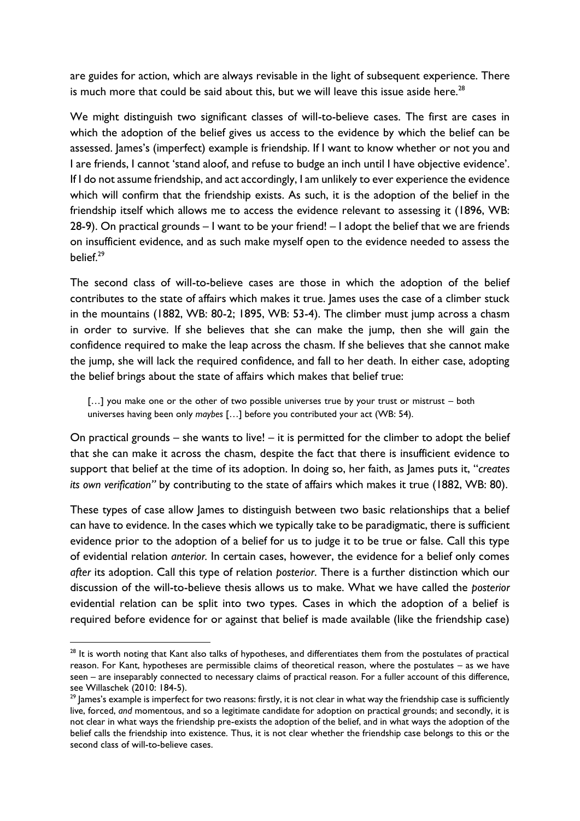are guides for action, which are always revisable in the light of subsequent experience. There is much more that could be said about this, but we will leave this issue aside here. $^{28}$ 

We might distinguish two significant classes of will-to-believe cases. The first are cases in which the adoption of the belief gives us access to the evidence by which the belief can be assessed. James's (imperfect) example is friendship. If I want to know whether or not you and I are friends, I cannot 'stand aloof, and refuse to budge an inch until I have objective evidence'. If I do not assume friendship, and act accordingly, I am unlikely to ever experience the evidence which will confirm that the friendship exists. As such, it is the adoption of the belief in the friendship itself which allows me to access the evidence relevant to assessing it (1896, WB: 28-9). On practical grounds – I want to be your friend! – I adopt the belief that we are friends on insufficient evidence, and as such make myself open to the evidence needed to assess the  $h$ elief<sup>29</sup>

The second class of will-to-believe cases are those in which the adoption of the belief contributes to the state of affairs which makes it true. James uses the case of a climber stuck in the mountains (1882, WB: 80-2; 1895, WB: 53-4). The climber must jump across a chasm in order to survive. If she believes that she can make the jump, then she will gain the confidence required to make the leap across the chasm. If she believes that she cannot make the jump, she will lack the required confidence, and fall to her death. In either case, adopting the belief brings about the state of affairs which makes that belief true:

[...] you make one or the other of two possible universes true by your trust or mistrust – both universes having been only *maybes* […] before you contributed your act (WB: 54).

On practical grounds – she wants to live! – it is permitted for the climber to adopt the belief that she can make it across the chasm, despite the fact that there is insufficient evidence to support that belief at the time of its adoption. In doing so, her faith, as James puts it, "*creates its own verification"* by contributing to the state of affairs which makes it true (1882, WB: 80).

These types of case allow James to distinguish between two basic relationships that a belief can have to evidence. In the cases which we typically take to be paradigmatic, there is sufficient evidence prior to the adoption of a belief for us to judge it to be true or false. Call this type of evidential relation *anterior.* In certain cases, however, the evidence for a belief only comes *after* its adoption. Call this type of relation *posterior*. There is a further distinction which our discussion of the will-to-believe thesis allows us to make. What we have called the *posterior* evidential relation can be split into two types. Cases in which the adoption of a belief is required before evidence for or against that belief is made available (like the friendship case)

<sup>&</sup>lt;sup>28</sup> It is worth noting that Kant also talks of hypotheses, and differentiates them from the postulates of practical reason. For Kant, hypotheses are permissible claims of theoretical reason, where the postulates – as we have seen – are inseparably connected to necessary claims of practical reason. For a fuller account of this difference, see Willaschek (2010: 184-5).

<sup>&</sup>lt;sup>29</sup> James's example is imperfect for two reasons: firstly, it is not clear in what way the friendship case is sufficiently live, forced, *and* momentous, and so a legitimate candidate for adoption on practical grounds; and secondly, it is not clear in what ways the friendship pre-exists the adoption of the belief, and in what ways the adoption of the belief calls the friendship into existence. Thus, it is not clear whether the friendship case belongs to this or the second class of will-to-believe cases.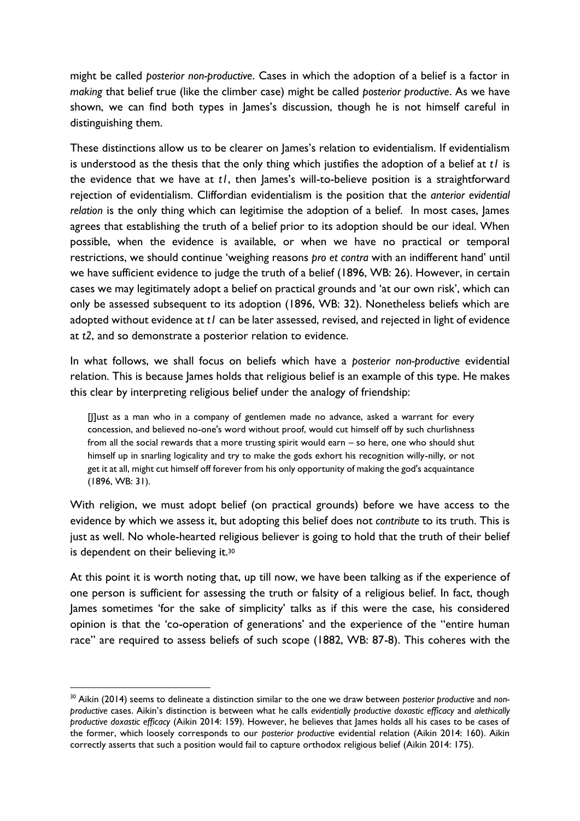might be called *posterior non-productive*. Cases in which the adoption of a belief is a factor in *making* that belief true (like the climber case) might be called *posterior productive*. As we have shown, we can find both types in James's discussion, though he is not himself careful in distinguishing them.

These distinctions allow us to be clearer on James's relation to evidentialism. If evidentialism is understood as the thesis that the only thing which justifies the adoption of a belief at *t1* is the evidence that we have at *t1*, then James's will-to-believe position is a straightforward rejection of evidentialism. Cliffordian evidentialism is the position that the *anterior evidential relation* is the only thing which can legitimise the adoption of a belief. In most cases, James agrees that establishing the truth of a belief prior to its adoption should be our ideal. When possible, when the evidence is available, or when we have no practical or temporal restrictions, we should continue 'weighing reasons *pro et contra* with an indifferent hand' until we have sufficient evidence to judge the truth of a belief (1896, WB: 26). However, in certain cases we may legitimately adopt a belief on practical grounds and 'at our own risk', which can only be assessed subsequent to its adoption (1896, WB: 32). Nonetheless beliefs which are adopted without evidence at *t1* can be later assessed, revised, and rejected in light of evidence at *t2*, and so demonstrate a posterior relation to evidence.

In what follows, we shall focus on beliefs which have a *posterior non-productive* evidential relation. This is because James holds that religious belief is an example of this type. He makes this clear by interpreting religious belief under the analogy of friendship:

[J]ust as a man who in a company of gentlemen made no advance, asked a warrant for every concession, and believed no-one's word without proof, would cut himself off by such churlishness from all the social rewards that a more trusting spirit would earn – so here, one who should shut himself up in snarling logicality and try to make the gods exhort his recognition willy-nilly, or not get it at all, might cut himself off forever from his only opportunity of making the god's acquaintance (1896, WB: 31).

With religion, we must adopt belief (on practical grounds) before we have access to the evidence by which we assess it, but adopting this belief does not *contribute* to its truth. This is just as well. No whole-hearted religious believer is going to hold that the truth of their belief is dependent on their believing it.<sup>30</sup>

At this point it is worth noting that, up till now, we have been talking as if the experience of one person is sufficient for assessing the truth or falsity of a religious belief. In fact, though James sometimes 'for the sake of simplicity' talks as if this were the case, his considered opinion is that the 'co-operation of generations' and the experience of the "entire human race" are required to assess beliefs of such scope (1882, WB: 87-8). This coheres with the

<sup>30</sup> Aikin (2014) seems to delineate a distinction similar to the one we draw between *posterior productive* and *nonproductive* cases. Aikin's distinction is between what he calls *evidentially productive doxastic efficacy* and *alethically productive doxastic efficacy* (Aikin 2014: 159). However, he believes that James holds all his cases to be cases of the former, which loosely corresponds to our *posterior productive* evidential relation (Aikin 2014: 160). Aikin correctly asserts that such a position would fail to capture orthodox religious belief (Aikin 2014: 175).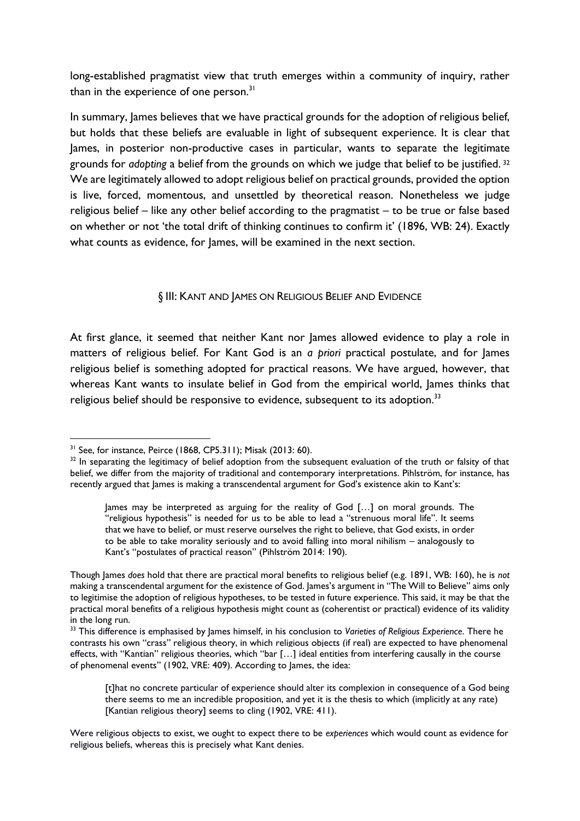long-established pragmatist view that truth emerges within a community of inquiry, rather than in the experience of one person.<sup>31</sup>

In summary, James believes that we have practical grounds for the adoption of religious belief, but holds that these beliefs are evaluable in light of subsequent experience. It is clear that James, in posterior non-productive cases in particular, wants to separate the legitimate grounds for *adopting* a belief from the grounds on which we judge that belief to be justified. <sup>32</sup> We are legitimately allowed to adopt religious belief on practical grounds, provided the option is live, forced, momentous, and unsettled by theoretical reason. Nonetheless we judge religious belief – like any other belief according to the pragmatist – to be true or false based on whether or not 'the total drift of thinking continues to confirm it' (1896, WB: 24). Exactly what counts as evidence, for James, will be examined in the next section.

## § III: KANT AND JAMES ON RELIGIOUS BELIEF AND EVIDENCE

At first glance, it seemed that neither Kant nor James allowed evidence to play a role in matters of religious belief. For Kant God is an *a priori* practical postulate, and for James religious belief is something adopted for practical reasons. We have argued, however, that whereas Kant wants to insulate belief in God from the empirical world, James thinks that religious belief should be responsive to evidence, subsequent to its adoption.<sup>33</sup>

<sup>&</sup>lt;u>.</u> <sup>31</sup> See, for instance, Peirce (1868, CP5.311); Misak (2013: 60).

<sup>&</sup>lt;sup>32</sup> In separating the legitimacy of belief adoption from the subsequent evaluation of the truth or falsity of that belief, we differ from the majority of traditional and contemporary interpretations. Pihlström, for instance, has recently argued that James is making a transcendental argument for God's existence akin to Kant's:

James may be interpreted as arguing for the reality of God […] on moral grounds. The "religious hypothesis" is needed for us to be able to lead a "strenuous moral life". It seems that we have to belief, or must reserve ourselves the right to believe, that God exists, in order to be able to take morality seriously and to avoid falling into moral nihilism – analogously to Kant's "postulates of practical reason" (Pihlström 2014: 190).

Though James *does* hold that there are practical moral benefits to religious belief (e.g. 1891, WB: 160), he is *not* making a transcendental argument for the existence of God. James's argument in "The Will to Believe" aims only to legitimise the adoption of religious hypotheses, to be tested in future experience. This said, it may be that the practical moral benefits of a religious hypothesis might count as (coherentist or practical) evidence of its validity in the long run.

<sup>&</sup>lt;sup>33</sup> This difference is emphasised by James himself, in his conclusion to Varieties of Religious Experience. There he contrasts his own "crass" religious theory, in which religious objects (if real) are expected to have phenomenal effects, with "Kantian" religious theories, which "bar […] ideal entities from interfering causally in the course of phenomenal events" (1902, VRE: 409). According to James, the idea:

<sup>[</sup>t]hat no concrete particular of experience should alter its complexion in consequence of a God being there seems to me an incredible proposition, and yet it is the thesis to which (implicitly at any rate) [Kantian religious theory] seems to cling (1902, VRE: 411).

Were religious objects to exist, we ought to expect there to be *experiences* which would count as evidence for religious beliefs, whereas this is precisely what Kant denies.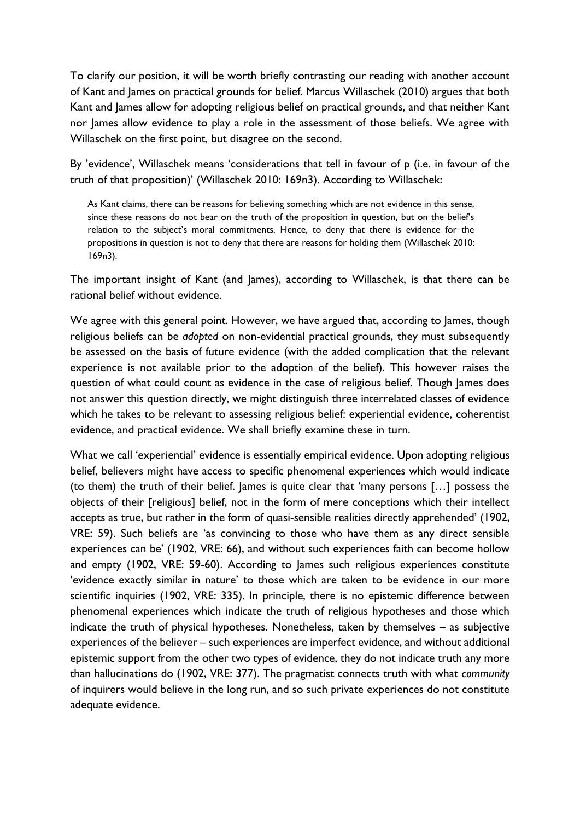To clarify our position, it will be worth briefly contrasting our reading with another account of Kant and James on practical grounds for belief. Marcus Willaschek (2010) argues that both Kant and James allow for adopting religious belief on practical grounds, and that neither Kant nor James allow evidence to play a role in the assessment of those beliefs. We agree with Willaschek on the first point, but disagree on the second.

By 'evidence', Willaschek means 'considerations that tell in favour of p (i.e. in favour of the truth of that proposition)' (Willaschek 2010: 169n3). According to Willaschek:

As Kant claims, there can be reasons for believing something which are not evidence in this sense, since these reasons do not bear on the truth of the proposition in question, but on the belief's relation to the subject's moral commitments. Hence, to deny that there is evidence for the propositions in question is not to deny that there are reasons for holding them (Willaschek 2010: 169n3).

The important insight of Kant (and James), according to Willaschek, is that there can be rational belief without evidence.

We agree with this general point. However, we have argued that, according to James, though religious beliefs can be *adopted* on non-evidential practical grounds, they must subsequently be assessed on the basis of future evidence (with the added complication that the relevant experience is not available prior to the adoption of the belief). This however raises the question of what could count as evidence in the case of religious belief. Though James does not answer this question directly, we might distinguish three interrelated classes of evidence which he takes to be relevant to assessing religious belief: experiential evidence, coherentist evidence, and practical evidence. We shall briefly examine these in turn.

What we call 'experiential' evidence is essentially empirical evidence. Upon adopting religious belief, believers might have access to specific phenomenal experiences which would indicate (to them) the truth of their belief. James is quite clear that 'many persons […] possess the objects of their [religious] belief, not in the form of mere conceptions which their intellect accepts as true, but rather in the form of quasi-sensible realities directly apprehended' (1902, VRE: 59). Such beliefs are 'as convincing to those who have them as any direct sensible experiences can be' (1902, VRE: 66), and without such experiences faith can become hollow and empty (1902, VRE: 59-60). According to James such religious experiences constitute 'evidence exactly similar in nature' to those which are taken to be evidence in our more scientific inquiries (1902, VRE: 335). In principle, there is no epistemic difference between phenomenal experiences which indicate the truth of religious hypotheses and those which indicate the truth of physical hypotheses. Nonetheless, taken by themselves – as subjective experiences of the believer – such experiences are imperfect evidence, and without additional epistemic support from the other two types of evidence, they do not indicate truth any more than hallucinations do (1902, VRE: 377). The pragmatist connects truth with what *community* of inquirers would believe in the long run, and so such private experiences do not constitute adequate evidence.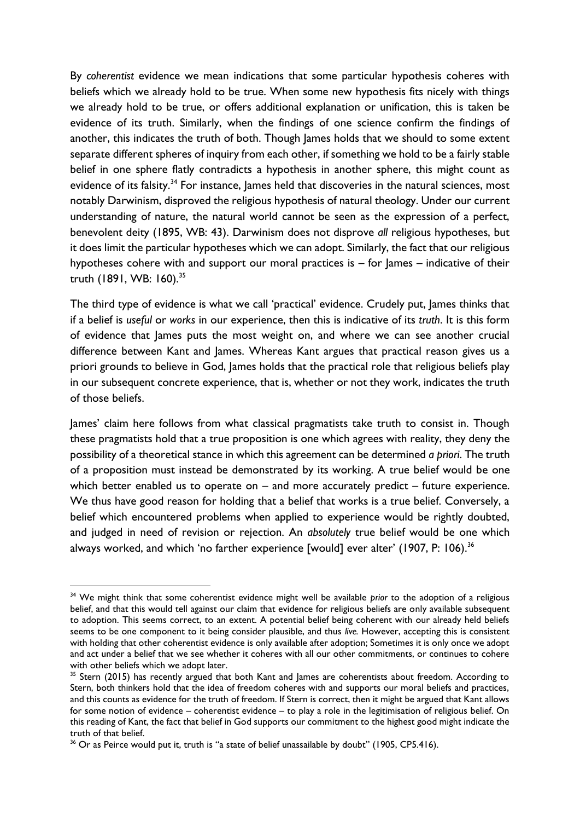By *coherentist* evidence we mean indications that some particular hypothesis coheres with beliefs which we already hold to be true. When some new hypothesis fits nicely with things we already hold to be true, or offers additional explanation or unification, this is taken be evidence of its truth. Similarly, when the findings of one science confirm the findings of another, this indicates the truth of both. Though James holds that we should to some extent separate different spheres of inquiry from each other, if something we hold to be a fairly stable belief in one sphere flatly contradicts a hypothesis in another sphere, this might count as evidence of its falsity.<sup>34</sup> For instance, James held that discoveries in the natural sciences, most notably Darwinism, disproved the religious hypothesis of natural theology. Under our current understanding of nature, the natural world cannot be seen as the expression of a perfect, benevolent deity (1895, WB: 43). Darwinism does not disprove *all* religious hypotheses, but it does limit the particular hypotheses which we can adopt. Similarly, the fact that our religious hypotheses cohere with and support our moral practices is – for James – indicative of their truth (1891, WB: 160).<sup>35</sup>

The third type of evidence is what we call 'practical' evidence. Crudely put, lames thinks that if a belief is *useful* or *works* in our experience, then this is indicative of its *truth*. It is this form of evidence that James puts the most weight on, and where we can see another crucial difference between Kant and James. Whereas Kant argues that practical reason gives us a priori grounds to believe in God, James holds that the practical role that religious beliefs play in our subsequent concrete experience, that is, whether or not they work, indicates the truth of those beliefs.

James' claim here follows from what classical pragmatists take truth to consist in. Though these pragmatists hold that a true proposition is one which agrees with reality, they deny the possibility of a theoretical stance in which this agreement can be determined *a priori*. The truth of a proposition must instead be demonstrated by its working. A true belief would be one which better enabled us to operate on  $-$  and more accurately predict  $-$  future experience. We thus have good reason for holding that a belief that works is a true belief. Conversely, a belief which encountered problems when applied to experience would be rightly doubted, and judged in need of revision or rejection. An *absolutely* true belief would be one which always worked, and which 'no farther experience [would] ever alter' (1907, P: 106).<sup>36</sup>

<sup>&</sup>lt;sup>34</sup> We might think that some coherentist evidence might well be available *prior* to the adoption of a religious belief, and that this would tell against our claim that evidence for religious beliefs are only available subsequent to adoption. This seems correct, to an extent. A potential belief being coherent with our already held beliefs seems to be one component to it being consider plausible, and thus *live.* However, accepting this is consistent with holding that other coherentist evidence is only available after adoption; Sometimes it is only once we adopt and act under a belief that we see whether it coheres with all our other commitments, or continues to cohere with other beliefs which we adopt later.

<sup>&</sup>lt;sup>35</sup> Stern (2015) has recently argued that both Kant and James are coherentists about freedom. According to Stern, both thinkers hold that the idea of freedom coheres with and supports our moral beliefs and practices, and this counts as evidence for the truth of freedom. If Stern is correct, then it might be argued that Kant allows for some notion of evidence – coherentist evidence – to play a role in the legitimisation of religious belief. On this reading of Kant, the fact that belief in God supports our commitment to the highest good might indicate the truth of that belief.

 $36$  Or as Peirce would put it, truth is "a state of belief unassailable by doubt" (1905, CP5.416).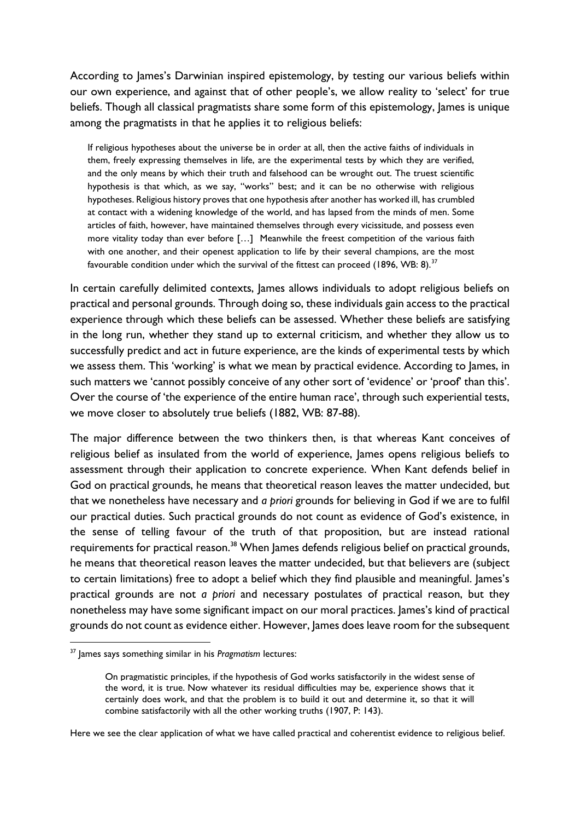According to James's Darwinian inspired epistemology, by testing our various beliefs within our own experience, and against that of other people's, we allow reality to 'select' for true beliefs. Though all classical pragmatists share some form of this epistemology, James is unique among the pragmatists in that he applies it to religious beliefs:

If religious hypotheses about the universe be in order at all, then the active faiths of individuals in them, freely expressing themselves in life, are the experimental tests by which they are verified, and the only means by which their truth and falsehood can be wrought out. The truest scientific hypothesis is that which, as we say, "works" best; and it can be no otherwise with religious hypotheses. Religious history proves that one hypothesis after another has worked ill, has crumbled at contact with a widening knowledge of the world, and has lapsed from the minds of men. Some articles of faith, however, have maintained themselves through every vicissitude, and possess even more vitality today than ever before […] Meanwhile the freest competition of the various faith with one another, and their openest application to life by their several champions, are the most favourable condition under which the survival of the fittest can proceed (1896, WB: 8).<sup>37</sup>

In certain carefully delimited contexts, James allows individuals to adopt religious beliefs on practical and personal grounds. Through doing so, these individuals gain access to the practical experience through which these beliefs can be assessed. Whether these beliefs are satisfying in the long run, whether they stand up to external criticism, and whether they allow us to successfully predict and act in future experience, are the kinds of experimental tests by which we assess them. This 'working' is what we mean by practical evidence. According to James, in such matters we 'cannot possibly conceive of any other sort of 'evidence' or 'proof' than this'. Over the course of 'the experience of the entire human race', through such experiential tests, we move closer to absolutely true beliefs (1882, WB: 87-88).

The major difference between the two thinkers then, is that whereas Kant conceives of religious belief as insulated from the world of experience, James opens religious beliefs to assessment through their application to concrete experience. When Kant defends belief in God on practical grounds, he means that theoretical reason leaves the matter undecided, but that we nonetheless have necessary and *a priori* grounds for believing in God if we are to fulfil our practical duties. Such practical grounds do not count as evidence of God's existence, in the sense of telling favour of the truth of that proposition, but are instead rational requirements for practical reason.<sup>38</sup> When James defends religious belief on practical grounds, he means that theoretical reason leaves the matter undecided, but that believers are (subject to certain limitations) free to adopt a belief which they find plausible and meaningful. James's practical grounds are not *a priori* and necessary postulates of practical reason, but they nonetheless may have some significant impact on our moral practices. James's kind of practical grounds do not count as evidence either. However, James does leave room for the subsequent

<u>.</u>

Here we see the clear application of what we have called practical and coherentist evidence to religious belief.

<sup>37</sup> James says something similar in his *Pragmatism* lectures:

On pragmatistic principles, if the hypothesis of God works satisfactorily in the widest sense of the word, it is true. Now whatever its residual difficulties may be, experience shows that it certainly does work, and that the problem is to build it out and determine it, so that it will combine satisfactorily with all the other working truths (1907, P: 143).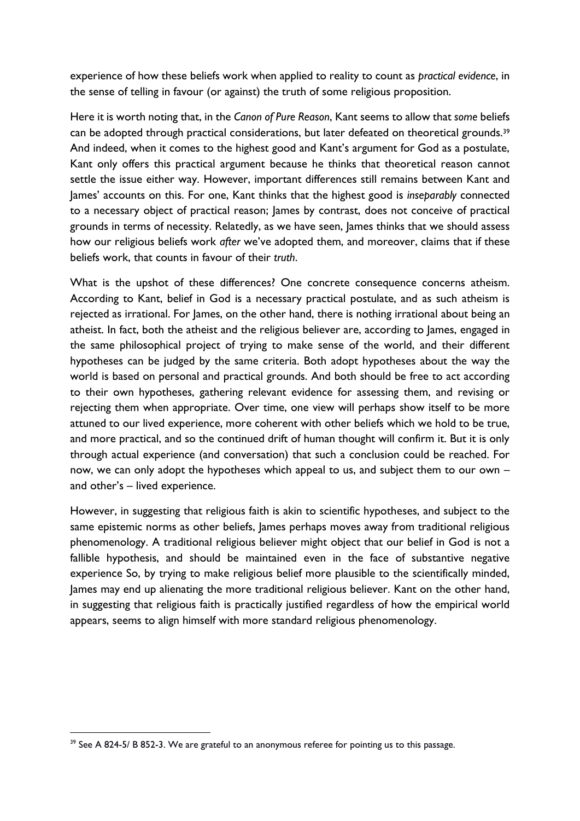experience of how these beliefs work when applied to reality to count as *practical evidence*, in the sense of telling in favour (or against) the truth of some religious proposition.

Here it is worth noting that, in the *Canon of Pure Reason*, Kant seems to allow that *some* beliefs can be adopted through practical considerations, but later defeated on theoretical grounds.<sup>39</sup> And indeed, when it comes to the highest good and Kant's argument for God as a postulate, Kant only offers this practical argument because he thinks that theoretical reason cannot settle the issue either way. However, important differences still remains between Kant and James' accounts on this. For one, Kant thinks that the highest good is *inseparably* connected to a necessary object of practical reason; James by contrast, does not conceive of practical grounds in terms of necessity. Relatedly, as we have seen, James thinks that we should assess how our religious beliefs work *after* we've adopted them, and moreover, claims that if these beliefs work, that counts in favour of their *truth*.

What is the upshot of these differences? One concrete consequence concerns atheism. According to Kant, belief in God is a necessary practical postulate, and as such atheism is rejected as irrational. For James, on the other hand, there is nothing irrational about being an atheist. In fact, both the atheist and the religious believer are, according to James, engaged in the same philosophical project of trying to make sense of the world, and their different hypotheses can be judged by the same criteria. Both adopt hypotheses about the way the world is based on personal and practical grounds. And both should be free to act according to their own hypotheses, gathering relevant evidence for assessing them, and revising or rejecting them when appropriate. Over time, one view will perhaps show itself to be more attuned to our lived experience, more coherent with other beliefs which we hold to be true, and more practical, and so the continued drift of human thought will confirm it. But it is only through actual experience (and conversation) that such a conclusion could be reached. For now, we can only adopt the hypotheses which appeal to us, and subject them to our own – and other's – lived experience.

However, in suggesting that religious faith is akin to scientific hypotheses, and subject to the same epistemic norms as other beliefs, James perhaps moves away from traditional religious phenomenology. A traditional religious believer might object that our belief in God is not a fallible hypothesis, and should be maintained even in the face of substantive negative experience So, by trying to make religious belief more plausible to the scientifically minded, James may end up alienating the more traditional religious believer. Kant on the other hand, in suggesting that religious faith is practically justified regardless of how the empirical world appears, seems to align himself with more standard religious phenomenology.

 $39$  See A 824-5/ B 852-3. We are grateful to an anonymous referee for pointing us to this passage.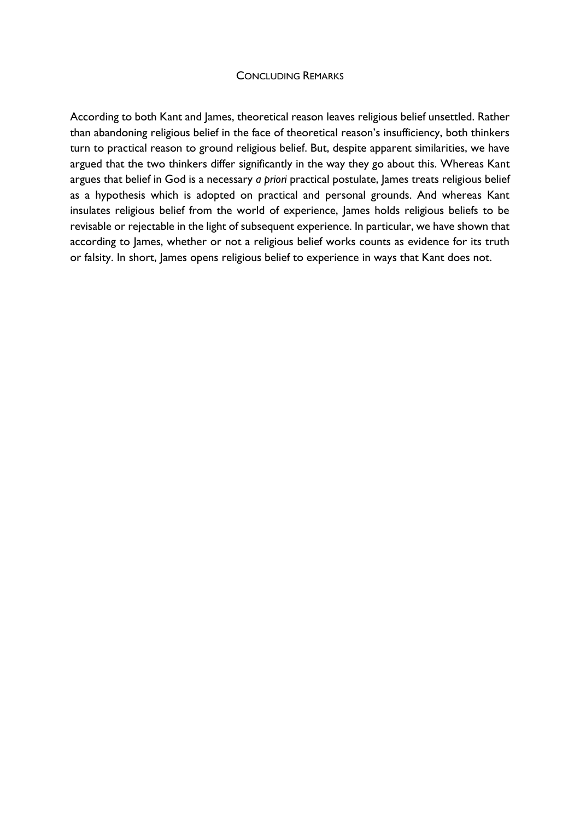### CONCLUDING REMARKS

According to both Kant and James, theoretical reason leaves religious belief unsettled. Rather than abandoning religious belief in the face of theoretical reason's insufficiency, both thinkers turn to practical reason to ground religious belief. But, despite apparent similarities, we have argued that the two thinkers differ significantly in the way they go about this. Whereas Kant argues that belief in God is a necessary *a priori* practical postulate, James treats religious belief as a hypothesis which is adopted on practical and personal grounds. And whereas Kant insulates religious belief from the world of experience, James holds religious beliefs to be revisable or rejectable in the light of subsequent experience. In particular, we have shown that according to James, whether or not a religious belief works counts as evidence for its truth or falsity. In short, James opens religious belief to experience in ways that Kant does not.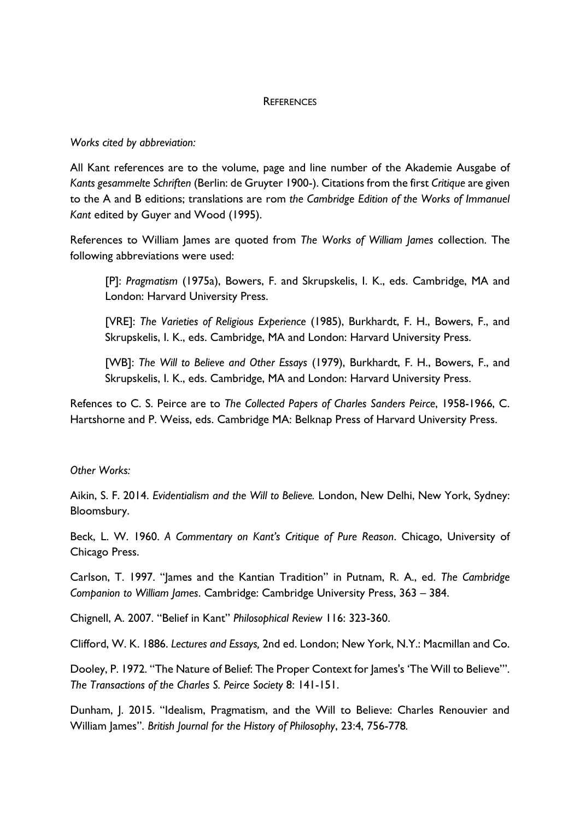## **REFERENCES**

## *Works cited by abbreviation:*

All Kant references are to the volume, page and line number of the Akademie Ausgabe of *Kants gesammelte Schriften* (Berlin: de Gruyter 1900-). Citations from the first *Critique* are given to the A and B editions; translations are rom *the Cambridge Edition of the Works of Immanuel Kant* edited by Guyer and Wood (1995).

References to William James are quoted from *The Works of William James* collection. The following abbreviations were used:

[P]: *Pragmatism* (1975a), Bowers, F. and Skrupskelis, I. K., eds. Cambridge, MA and London: Harvard University Press.

[VRE]: *The Varieties of Religious Experience* (1985), Burkhardt, F. H., Bowers, F., and Skrupskelis, I. K., eds. Cambridge, MA and London: Harvard University Press.

[WB]: *The Will to Believe and Other Essays* (1979), Burkhardt, F. H., Bowers, F., and Skrupskelis, I. K., eds. Cambridge, MA and London: Harvard University Press.

Refences to C. S. Peirce are to *The Collected Papers of Charles Sanders Peirce*, 1958-1966, C. Hartshorne and P. Weiss, eds. Cambridge MA: Belknap Press of Harvard University Press.

## *Other Works:*

Aikin, S. F. 2014. *Evidentialism and the Will to Believe.* London, New Delhi, New York, Sydney: Bloomsbury.

Beck, L. W. 1960. *A Commentary on Kant's Critique of Pure Reason*. Chicago, University of Chicago Press.

Carlson, T. 1997. "James and the Kantian Tradition" in Putnam, R. A., ed. *The Cambridge Companion to William James*. Cambridge: Cambridge University Press, 363 – 384.

Chignell, A. 2007. "Belief in Kant" *Philosophical Review* 116: 323-360.

Clifford, W. K. 1886. *Lectures and Essays,* 2nd ed. London; New York, N.Y.: Macmillan and Co.

Dooley, P. 1972. "The Nature of Belief: The Proper Context for James's 'The Will to Believe'". *The Transactions of the Charles S. Peirce Society* 8: 141-151.

Dunham, J. 2015. "Idealism, Pragmatism, and the Will to Believe: Charles Renouvier and William James". *British Journal for the History of Philosophy*, 23:4, 756-778*.*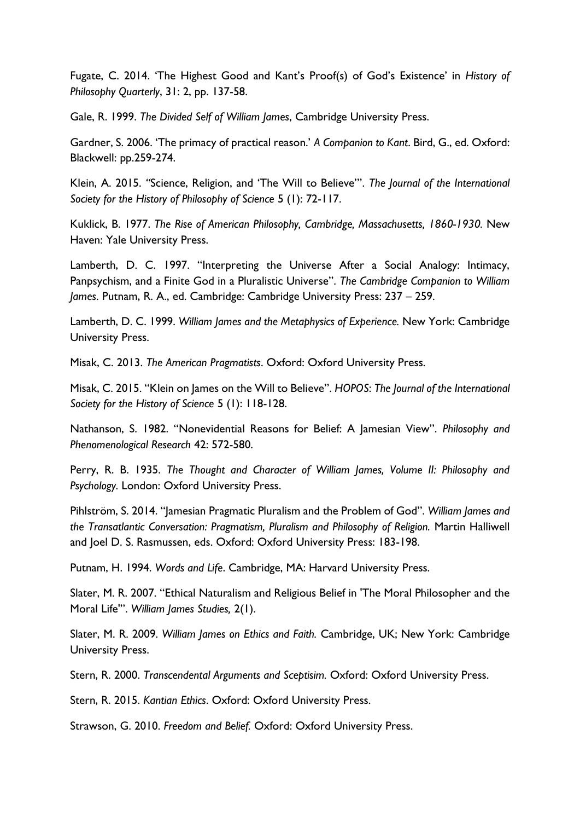Fugate, C. 2014. 'The Highest Good and Kant's Proof(s) of God's Existence' in *History of Philosophy Quarterly*, 31: 2, pp. 137-58.

Gale, R. 1999. *The Divided Self of William James*, Cambridge University Press.

Gardner, S. 2006. 'The primacy of practical reason.' *A Companion to Kant*. Bird, G., ed. Oxford: Blackwell: pp.259-274.

Klein, A. 2015. *"*Science, Religion, and 'The Will to Believe'". *The Journal of the International Society for the History of Philosophy of Science* 5 (1): 72-117.

Kuklick, B. 1977. *The Rise of American Philosophy, Cambridge, Massachusetts, 1860-1930.* New Haven: Yale University Press.

Lamberth, D. C. 1997. "Interpreting the Universe After a Social Analogy: Intimacy, Panpsychism, and a Finite God in a Pluralistic Universe". *The Cambridge Companion to William James*. Putnam, R. A., ed. Cambridge: Cambridge University Press: 237 – 259.

Lamberth, D. C. 1999. *William James and the Metaphysics of Experience.* New York: Cambridge University Press.

Misak, C. 2013. *The American Pragmatists*. Oxford: Oxford University Press.

Misak, C. 2015. "Klein on James on the Will to Believe". *HOPOS*: *The Journal of the International Society for the History of Science* 5 (1): 118-128.

Nathanson, S. 1982. "Nonevidential Reasons for Belief: A Jamesian View". *Philosophy and Phenomenological Research* 42: 572-580.

Perry, R. B. 1935. *The Thought and Character of William James, Volume II: Philosophy and Psychology.* London: Oxford University Press.

Pihlström, S. 2014. "Jamesian Pragmatic Pluralism and the Problem of God". *William James and the Transatlantic Conversation: Pragmatism, Pluralism and Philosophy of Religion.* Martin Halliwell and Joel D. S. Rasmussen, eds. Oxford: Oxford University Press: 183-198.

Putnam, H. 1994. *Words and Life*. Cambridge, MA: Harvard University Press.

Slater, M. R. 2007. "Ethical Naturalism and Religious Belief in 'The Moral Philosopher and the Moral Life'". *William James Studies,* 2(1).

Slater, M. R. 2009. *William James on Ethics and Faith.* Cambridge, UK; New York: Cambridge University Press.

Stern, R. 2000. *Transcendental Arguments and Sceptisim.* Oxford: Oxford University Press.

Stern, R. 2015. *Kantian Ethics*. Oxford: Oxford University Press.

Strawson, G. 2010. *Freedom and Belief.* Oxford: Oxford University Press.